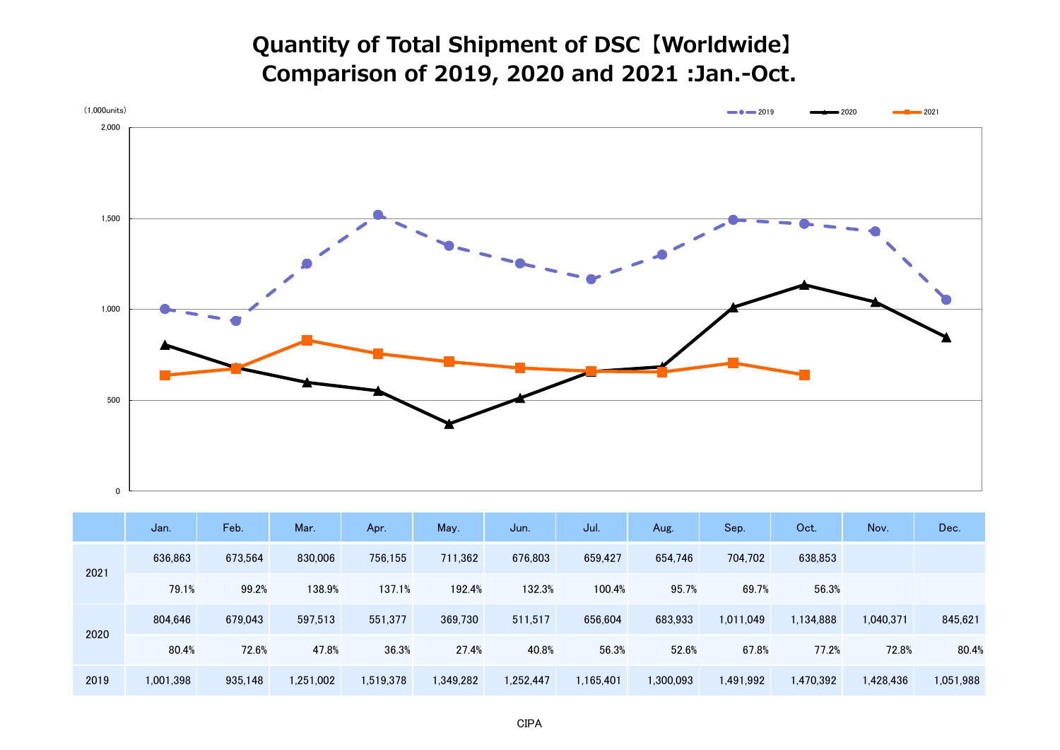## **Quantity of Total Shipment of DSC【Worldwide】 Comparison of 2019, 2020 and 2021 :Jan.-Oct.**



|      | Jan.      | Feb.    | Mar.      | Apr.      | May.      | Jun.      | Jul.      | Aug.      | Sep.      | Oct.      | Nov.      | Dec.      |
|------|-----------|---------|-----------|-----------|-----------|-----------|-----------|-----------|-----------|-----------|-----------|-----------|
| 2021 | 636,863   | 673.564 | 830,006   | 756.155   | 711,362   | 676.803   | 659,427   | 654,746   | 704,702   | 638,853   |           |           |
|      | 79.1%     | 99.2%   | 138.9%    | 137.1%    | 192.4%    | 132.3%    | 100.4%    | 95.7%     | 69.7%     | 56.3%     |           |           |
| 2020 | 804,646   | 679,043 | 597,513   | 551.377   | 369,730   | 511,517   | 656,604   | 683,933   | 1,011,049 | 1,134,888 | 1,040,371 | 845,621   |
|      | 80.4%     | 72.6%   | 47.8%     | 36.3%     | 27.4%     | 40.8%     | 56.3%     | 52.6%     | 67.8%     | 77.2%     | 72.8%     | 80.4%     |
| 2019 | 1,001,398 | 935,148 | 1,251,002 | 1,519,378 | 1,349,282 | 1,252,447 | 1,165,401 | 1,300,093 | 1,491,992 | 1,470,392 | 1,428,436 | 1,051,988 |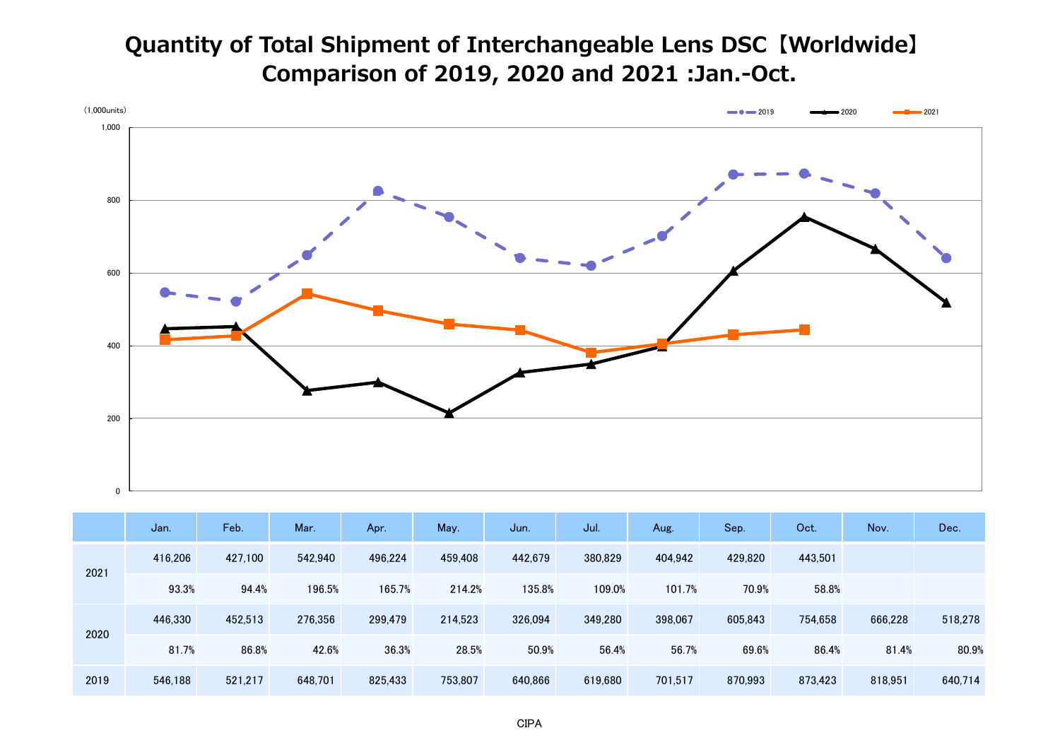## **Quantity of Total Shipment of Interchangeable Lens DSC【Worldwide】 Comparison of 2019, 2020 and 2021 :Jan.-Oct.**



|      | Jan.    | Feb.    | Mar.    | Apr.    | May.    | Jun.    | Jul.    | Aug.    | Sep.    | Oct.    | Nov.    | Dec.    |
|------|---------|---------|---------|---------|---------|---------|---------|---------|---------|---------|---------|---------|
| 2021 | 416,206 | 427,100 | 542,940 | 496,224 | 459,408 | 442,679 | 380,829 | 404,942 | 429,820 | 443,501 |         |         |
|      | 93.3%   | 94.4%   | 196.5%  | 165.7%  | 214.2%  | 135.8%  | 109.0%  | 101.7%  | 70.9%   | 58.8%   |         |         |
| 2020 | 446,330 | 452,513 | 276,356 | 299,479 | 214,523 | 326,094 | 349,280 | 398,067 | 605,843 | 754,658 | 666,228 | 518,278 |
|      | 81.7%   | 86.8%   | 42.6%   | 36.3%   | 28.5%   | 50.9%   | 56.4%   | 56.7%   | 69.6%   | 86.4%   | 81.4%   | 80.9%   |
| 2019 | 546,188 | 521,217 | 648,701 | 825,433 | 753,807 | 640,866 | 619,680 | 701.517 | 870,993 | 873,423 | 818.951 | 640,714 |